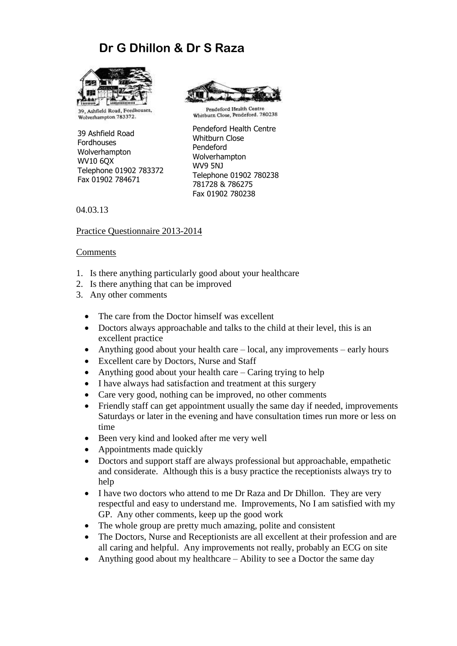## **Dr G Dhillon & Dr S Raza**



39, Ashfield Road, Fordhouses, Wolverhampton 783372.

39 Ashfield Road **Fordhouses** Wolverhampton WV10 6QX Telephone 01902 783372 Fax 01902 784671

Pendeford Health Centre Whitburn Close, Pendeford, 780238

Pendeford Health Centre Whitburn Close Pendeford Wolverhampton WV9 5NJ Telephone 01902 780238 781728 & 786275 Fax 01902 780238

04.03.13

## Practice Questionnaire 2013-2014

## **Comments**

- 1. Is there anything particularly good about your healthcare
- 2. Is there anything that can be improved
- 3. Any other comments
	- The care from the Doctor himself was excellent
	- Doctors always approachable and talks to the child at their level, this is an excellent practice
	- Anything good about your health care local, any improvements early hours
	- Excellent care by Doctors, Nurse and Staff
	- Anything good about your health care  $-$  Caring trying to help
	- I have always had satisfaction and treatment at this surgery
	- Care very good, nothing can be improved, no other comments
	- Friendly staff can get appointment usually the same day if needed, improvements Saturdays or later in the evening and have consultation times run more or less on time
	- Been very kind and looked after me very well
	- Appointments made quickly
	- Doctors and support staff are always professional but approachable, empathetic and considerate. Although this is a busy practice the receptionists always try to help
	- I have two doctors who attend to me Dr Raza and Dr Dhillon. They are very respectful and easy to understand me. Improvements, No I am satisfied with my GP. Any other comments, keep up the good work
	- The whole group are pretty much amazing, polite and consistent
	- The Doctors, Nurse and Receptionists are all excellent at their profession and are all caring and helpful. Any improvements not really, probably an ECG on site
	- Anything good about my healthcare Ability to see a Doctor the same day